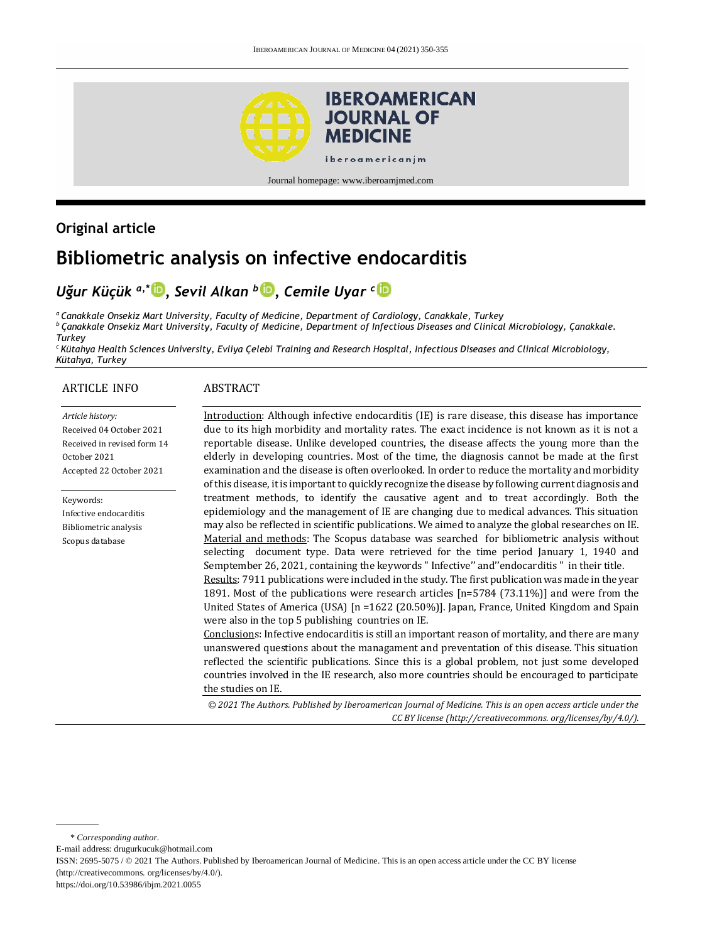

#### Journal homepage: [www.iberoamjmed.com](file:///C:/Users/EDUARDO/Desktop/REVISTA/Iberoamerican%20Journal%20of%20Medicine/Issues/Formato%20artículos/Bilingüe/www.iberoamjmed.com)

# **Original article**

# **Bibliometric analysis on infective endocarditis**

# *Uğur Küçük a,\* , Sevil Alkan <sup>b</sup> , Cemile Uyar <sup>c</sup>*

*<sup>a</sup>Canakkale Onsekiz Mart University, Faculty of Medicine, Department of Cardiology, Canakkale, Turkey <sup>b</sup> Çanakkale Onsekiz Mart University, Faculty of Medicine, Department of Infectious Diseases and Clinical Microbiology, Çanakkale. Turkey*

*<sup>c</sup>Kütahya Health Sciences University, Evliya Çelebi Training and Research Hospital, Infectious Diseases and Clinical Microbiology, Kütahya, Turkey*

### ARTICLE INFO

### ABSTRACT

*Article history:* Received 04 October 2021 Received in revised form 14 October 2021 Accepted 22 October 2021

Keywords: Infective endocarditis Bibliometric analysis Scopus database

Introduction: Although infective endocarditis (IE) is rare disease, this disease has importance due to its high morbidity and mortality rates. The exact incidence is not known as it is not a reportable disease. Unlike developed countries, the disease affects the young more than the elderly in developing countries. Most of the time, the diagnosis cannot be made at the first examination and the disease is often overlooked. In order to reduce the mortality and morbidity of this disease, it is important to quickly recognize the disease by following current diagnosis and treatment methods, to identify the causative agent and to treat accordingly. Both the epidemiology and the management of IE are changing due to medical advances. This situation may also be reflected in scientific publications. We aimed to analyze the global researches on IE. Material and methods: The Scopus database was searched for bibliometric analysis without selecting document type. Data were retrieved for the time period January 1, 1940 and Semptember 26, 2021, containing the keywords " Infective'' and''endocarditis " in their title. Results: 7911 publications were included in the study. The first publication was made in the year 1891. Most of the publications were research articles [n=5784 (73.11%)] and were from the United States of America (USA) [n =1622 (20.50%)]. Japan, France, United Kingdom and Spain were also in the top 5 publishing countries on IE. Conclusions: Infective endocarditis is still an important reason of mortality, and there are many

unanswered questions about the managament and preventation of this disease. This situation reflected the scientific publications. Since this is a global problem, not just some developed countries involved in the IE research, also more countries should be encouraged to participate the studies on IE.

*© 2021 The Authors. Published by Iberoamerican Journal of Medicine. This is an open access article under the CC BY license (http:/[/creativecommons. org/licenses/by/4.0/\)](https://creativecommons.org/licenses/by/4.0/).*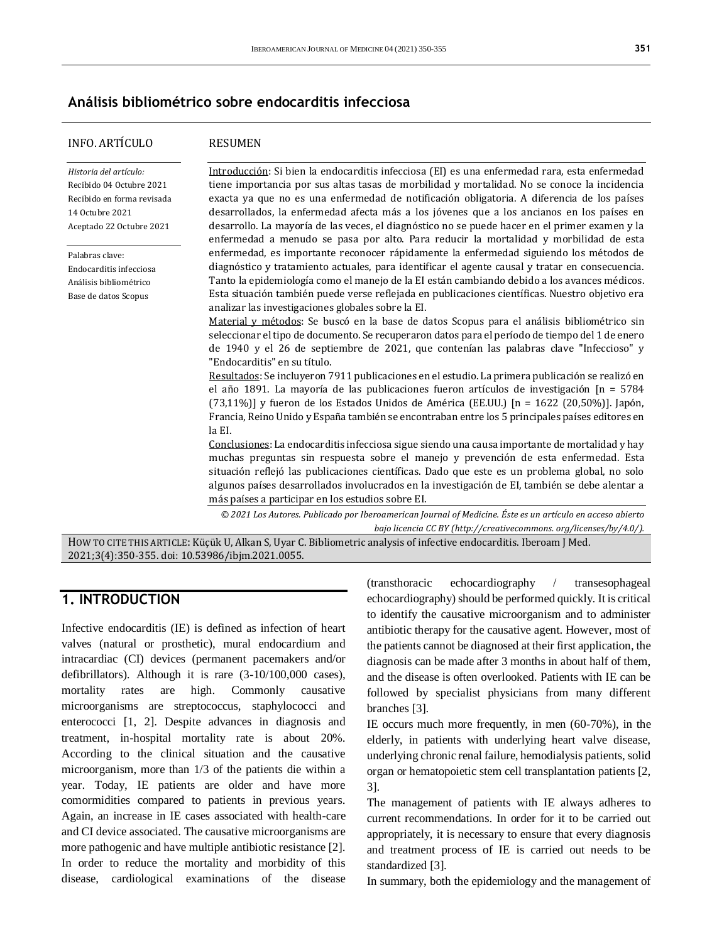### **Análisis bibliométrico sobre endocarditis infecciosa**

### INFO. ARTÍCULO

#### RESUMEN

*Historia del artículo:*  Recibido 04 Octubre 2021 Recibido en forma revisada 14 Octubre 2021 Aceptado 22 Octubre 2021 Palabras clave: Endocarditis infecciosa Análisis bibliométrico Base de datos Scopus Introducción: Si bien la endocarditis infecciosa (EI) es una enfermedad rara, esta enfermedad tiene importancia por sus altas tasas de morbilidad y mortalidad. No se conoce la incidencia exacta ya que no es una enfermedad de notificación obligatoria. A diferencia de los países desarrollados, la enfermedad afecta más a los jóvenes que a los ancianos en los países en desarrollo. La mayoría de las veces, el diagnóstico no se puede hacer en el primer examen y la enfermedad a menudo se pasa por alto. Para reducir la mortalidad y morbilidad de esta enfermedad, es importante reconocer rápidamente la enfermedad siguiendo los métodos de diagnóstico y tratamiento actuales, para identificar el agente causal y tratar en consecuencia. Tanto la epidemiología como el manejo de la EI están cambiando debido a los avances médicos. Esta situación también puede verse reflejada en publicaciones científicas. Nuestro objetivo era analizar las investigaciones globales sobre la EI. Material y métodos: Se buscó en la base de datos Scopus para el análisis bibliométrico sin seleccionar el tipo de documento. Se recuperaron datos para el período de tiempo del 1 de enero de 1940 y el 26 de septiembre de 2021, que contenían las palabras clave "Infeccioso" y "Endocarditis" en su título. Resultados: Se incluyeron 7911 publicaciones en el estudio. La primera publicación se realizó en el año 1891. La mayoría de las publicaciones fueron artículos de investigación [n = 5784 (73,11%)] y fueron de los Estados Unidos de América (EE.UU.)  $[n = 1622 \, (20,50\%)]$ . Japón, Francia, Reino Unido y España también se encontraban entre los 5 principales países editores en la EI. Conclusiones: La endocarditis infecciosa sigue siendo una causa importante de mortalidad y hay muchas preguntas sin respuesta sobre el manejo y prevención de esta enfermedad. Esta situación reflejó las publicaciones científicas. Dado que este es un problema global, no solo algunos países desarrollados involucrados en la investigación de EI, también se debe alentar a más países a participar en los estudios sobre EI.

*© 2021 Los Autores. Publicado por Iberoamerican Journal of Medicine. Éste es un artículo en acceso abierto bajo licencia CC BY (http:/[/creativecommons. org/licenses/by/4.0/\)](https://creativecommons.org/licenses/by/4.0/).*

HOW TO CITE THIS ARTICLE: Küçük U, Alkan S, Uyar C. Bibliometric analysis of infective endocarditis. Iberoam J Med. 2021;3(4):350-355. doi[: 10.53986/ibjm.2021.0055.](https://doi.org/10.53986/ibjm.2021.0055)

### **1. INTRODUCTION**

Infective endocarditis (IE) is defined as infection of heart valves (natural or prosthetic), mural endocardium and intracardiac (CI) devices (permanent pacemakers and/or defibrillators). Although it is rare (3-10/100,000 cases), mortality rates are high. Commonly causative microorganisms are streptococcus, staphylococci and enterococci [1, 2]. Despite advances in diagnosis and treatment, in-hospital mortality rate is about 20%. According to the clinical situation and the causative microorganism, more than 1/3 of the patients die within a year. Today, IE patients are older and have more comormidities compared to patients in previous years. Again, an increase in IE cases associated with health-care and CI device associated. The causative microorganisms are more pathogenic and have multiple antibiotic resistance [2]. In order to reduce the mortality and morbidity of this disease, cardiological examinations of the disease

(transthoracic echocardiography / transesophageal echocardiography) should be performed quickly. It is critical to identify the causative microorganism and to administer antibiotic therapy for the causative agent. However, most of the patients cannot be diagnosed at their first application, the diagnosis can be made after 3 months in about half of them, and the disease is often overlooked. Patients with IE can be followed by specialist physicians from many different branches [3].

IE occurs much more frequently, in men (60-70%), in the elderly, in patients with underlying heart valve disease, underlying chronic renal failure, hemodialysis patients, solid organ or hematopoietic stem cell transplantation patients [2, 3].

The management of patients with IE always adheres to current recommendations. In order for it to be carried out appropriately, it is necessary to ensure that every diagnosis and treatment process of IE is carried out needs to be standardized [3].

In summary, both the epidemiology and the management of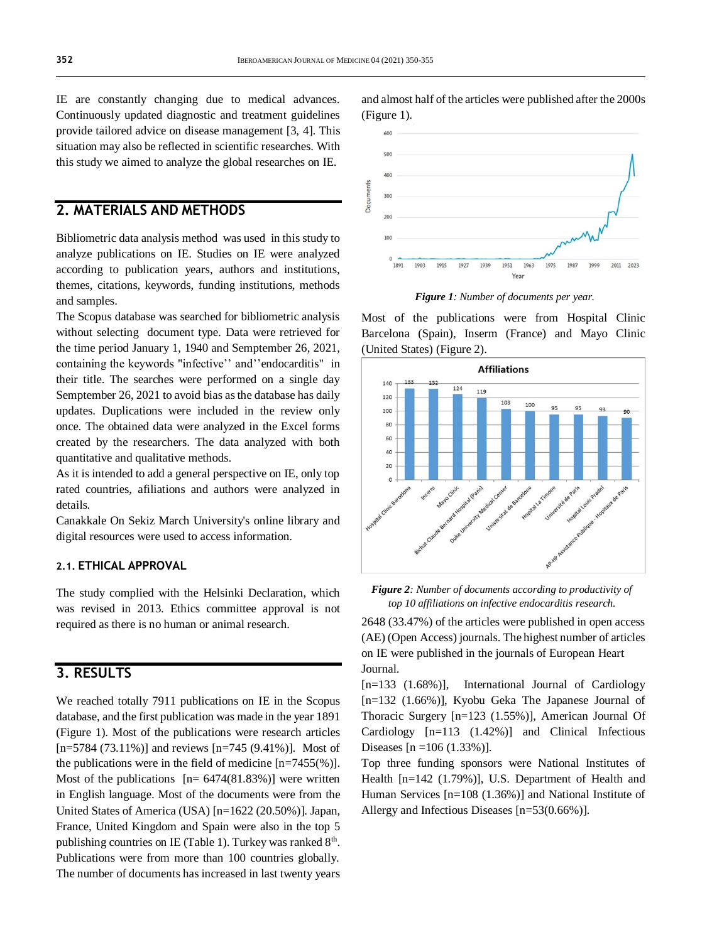IE are constantly changing due to medical advances. Continuously updated diagnostic and treatment guidelines provide tailored advice on disease management [3, 4]. This situation may also be reflected in scientific researches. With this study we aimed to analyze the global researches on IE.

### **2. MATERIALS AND METHODS**

Bibliometric data analysis method was used in this study to analyze publications on IE. Studies on IE were analyzed according to publication years, authors and institutions, themes, citations, keywords, funding institutions, methods and samples.

The Scopus database was searched for bibliometric analysis without selecting document type. Data were retrieved for the time period January 1, 1940 and Semptember 26, 2021, containing the keywords "infective'' and''endocarditis" in their title. The searches were performed on a single day Semptember 26, 2021 to avoid bias as the database has daily updates. Duplications were included in the review only once. The obtained data were analyzed in the Excel forms created by the researchers. The data analyzed with both quantitative and qualitative methods.

As it is intended to add a general perspective on IE, only top rated countries, afiliations and authors were analyzed in details.

Canakkale On Sekiz March University's online library and digital resources were used to access information.

### **2.1. ETHICAL APPROVAL**

The study complied with the Helsinki Declaration, which was revised in 2013. Ethics committee approval is not required as there is no human or animal research.

# **3. RESULTS**

We reached totally 7911 publications on IE in the Scopus database, and the first publication was made in the year 1891 (Figure 1). Most of the publications were research articles  $[n=5784 (73.11\%)]$  and reviews  $[n=745 (9.41\%)]$ . Most of the publications were in the field of medicine  $[n=7455(\%)]$ . Most of the publications  $[n= 6474(81.83\%)]$  were written in English language. Most of the documents were from the United States of America (USA) [n=1622 (20.50%)]. Japan, France, United Kingdom and Spain were also in the top 5 publishing countries on IE (Table 1). Turkey was ranked  $8<sup>th</sup>$ . Publications were from more than 100 countries globally. The number of documents has increased in last twenty years



and almost half of the articles were published after the 2000s

*Figure 1: Number of documents per year.*

Most of the publications were from Hospital Clinic Barcelona (Spain), Inserm (France) and Mayo Clinic (United States) (Figure 2).



*Figure 2: Number of documents according to productivity of top 10 affiliations on infective endocarditis research.*

2648 (33.47%) of the articles were published in open access (AE) (Open Access) journals. The highest number of articles on IE were published in the journals of European Heart Journal.

 $[n=133 \ (1.68\%)]$ , International Journal of Cardiology [n=132 (1.66%)], Kyobu Geka The Japanese Journal of Thoracic Surgery [n=123 (1.55%)], American Journal Of Cardiology [n=113 (1.42%)] and Clinical Infectious Diseases  $[n = 106 (1.33\%)]$ .

Top three funding sponsors were National Institutes of Health [n=142 (1.79%)], U.S. Department of Health and Human Services [n=108 (1.36%)] and National Institute of Allergy and Infectious Diseases [n=53(0.66%)].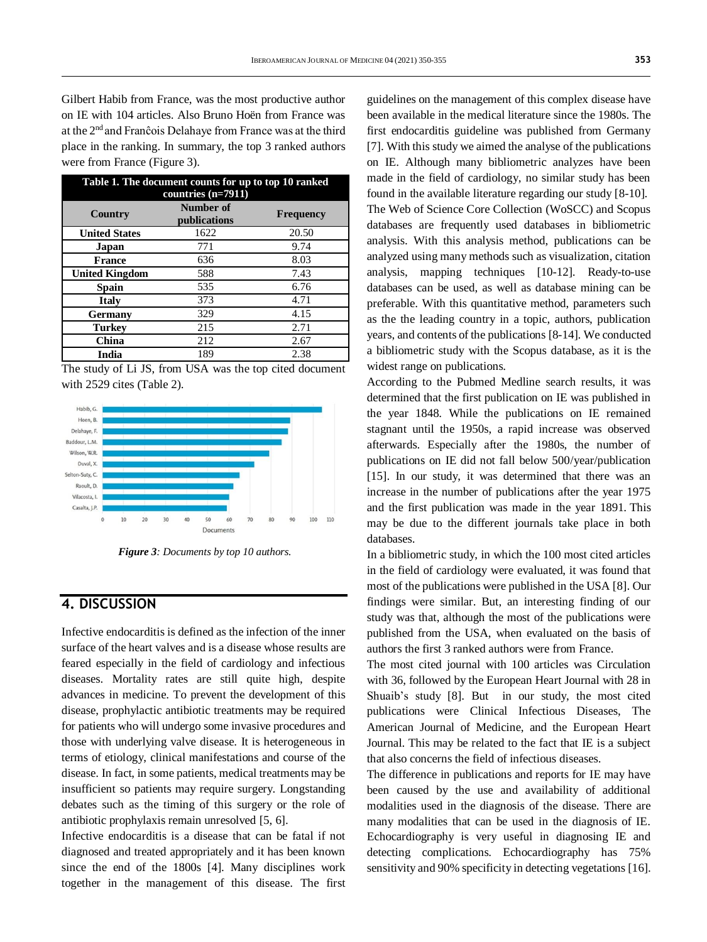Gilbert Habib from France, was the most productive author on IE with 104 articles. Also Bruno Hoën from France was at the 2nd and Franĉois Delahaye from France was at the third place in the ranking. In summary, the top 3 ranked authors were from France (Figure 3).

| Table 1. The document counts for up to top 10 ranked<br>countries $(n=7911)$ |                           |           |  |
|------------------------------------------------------------------------------|---------------------------|-----------|--|
| Country                                                                      | Number of<br>publications | Frequency |  |
| <b>United States</b>                                                         | 1622                      | 20.50     |  |
| Japan                                                                        | 771                       | 9.74      |  |
| <b>France</b>                                                                | 636                       | 8.03      |  |
| <b>United Kingdom</b>                                                        | 588                       | 7.43      |  |
| Spain                                                                        | 535                       | 6.76      |  |
| <b>Italy</b>                                                                 | 373                       | 4.71      |  |
| Germany                                                                      | 329                       | 4.15      |  |
| <b>Turkey</b>                                                                | 215                       | 2.71      |  |
| China                                                                        | 212                       | 2.67      |  |
| India                                                                        | 189                       | 2.38      |  |

The study of Li JS, from USA was the top cited document with 2529 cites (Table 2).



*Figure 3: Documents by top 10 authors.*

### **4. DISCUSSION**

Infective endocarditis is defined as the infection of the inner surface of the heart valves and is a disease whose results are feared especially in the field of cardiology and infectious diseases. Mortality rates are still quite high, despite advances in medicine. To prevent the development of this disease, prophylactic antibiotic treatments may be required for patients who will undergo some invasive procedures and those with underlying valve disease. It is heterogeneous in terms of etiology, clinical manifestations and course of the disease. In fact, in some patients, medical treatments may be insufficient so patients may require surgery. Longstanding debates such as the timing of this surgery or the role of antibiotic prophylaxis remain unresolved [5, 6].

Infective endocarditis is a disease that can be fatal if not diagnosed and treated appropriately and it has been known since the end of the 1800s [4]. Many disciplines work together in the management of this disease. The first

guidelines on the management of this complex disease have been available in the medical literature since the 1980s. The first endocarditis guideline was published from Germany [7]. With this study we aimed the analyse of the publications on IE. Although many bibliometric analyzes have been made in the field of cardiology, no similar study has been found in the available literature regarding our study [8-10]. The Web of Science Core Collection (WoSCC) and Scopus databases are frequently used databases in bibliometric analysis. With this analysis method, publications can be analyzed using many methods such as visualization, citation analysis, mapping techniques [10-12]. Ready-to-use databases can be used, as well as database mining can be preferable. With this quantitative method, parameters such as the the leading country in a topic, authors, publication years, and contents of the publications [8-14]. We conducted a bibliometric study with the Scopus database, as it is the widest range on publications.

According to the Pubmed Medline search results, it was determined that the first publication on IE was published in the year 1848. While the publications on IE remained stagnant until the 1950s, a rapid increase was observed afterwards. Especially after the 1980s, the number of publications on IE did not fall below 500/year/publication [15]. In our study, it was determined that there was an increase in the number of publications after the year 1975 and the first publication was made in the year 1891. This may be due to the different journals take place in both databases.

In a bibliometric study, in which the 100 most cited articles in the field of cardiology were evaluated, it was found that most of the publications were published in the USA [8]. Our findings were similar. But, an interesting finding of our study was that, although the most of the publications were published from the USA, when evaluated on the basis of authors the first 3 ranked authors were from France.

The most cited journal with 100 articles was Circulation with 36, followed by the European Heart Journal with 28 in Shuaib's study [8]. But in our study, the most cited publications were Clinical Infectious Diseases, The American Journal of Medicine, and the European Heart Journal. This may be related to the fact that IE is a subject that also concerns the field of infectious diseases.

The difference in publications and reports for IE may have been caused by the use and availability of additional modalities used in the diagnosis of the disease. There are many modalities that can be used in the diagnosis of IE. Echocardiography is very useful in diagnosing IE and detecting complications. Echocardiography has 75% sensitivity and 90% specificity in detecting vegetations [16].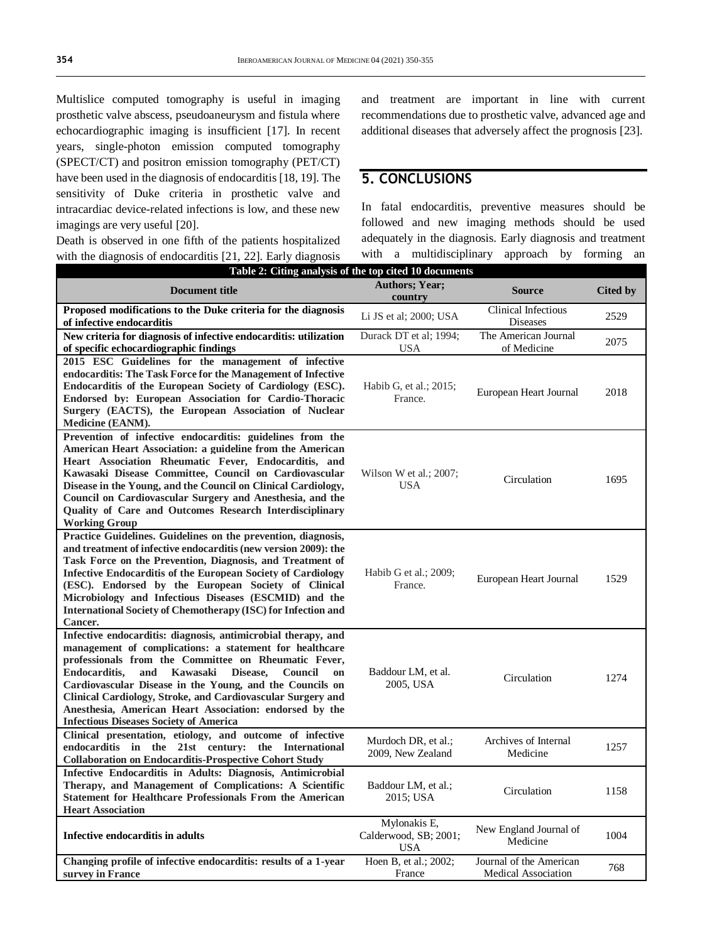Multislice computed tomography is useful in imaging prosthetic valve abscess, pseudoaneurysm and fistula where echocardiographic imaging is insufficient [17]. In recent years, single-photon emission computed tomography (SPECT/CT) and positron emission tomography (PET/CT) have been used in the diagnosis of endocarditis [18, 19]. The sensitivity of Duke criteria in prosthetic valve and intracardiac device-related infections is low, and these new imagings are very useful [20].

Death is observed in one fifth of the patients hospitalized with the diagnosis of endocarditis [21, 22]. Early diagnosis and treatment are important in line with current recommendations due to prosthetic valve, advanced age and additional diseases that adversely affect the prognosis [23].

### **5. CONCLUSIONS**

In fatal endocarditis, preventive measures should be followed and new imaging methods should be used adequately in the diagnosis. Early diagnosis and treatment with a multidisciplinary approach by forming an

| Table 2: Citing analysis of the top cited 10 documents                                                                                                                                                                                                                                                                                                                                                                                                                                                            |                                                     |                                                       |                 |  |  |
|-------------------------------------------------------------------------------------------------------------------------------------------------------------------------------------------------------------------------------------------------------------------------------------------------------------------------------------------------------------------------------------------------------------------------------------------------------------------------------------------------------------------|-----------------------------------------------------|-------------------------------------------------------|-----------------|--|--|
| <b>Document title</b>                                                                                                                                                                                                                                                                                                                                                                                                                                                                                             | <b>Authors; Year;</b><br>country                    | <b>Source</b>                                         | <b>Cited by</b> |  |  |
| Proposed modifications to the Duke criteria for the diagnosis<br>of infective endocarditis                                                                                                                                                                                                                                                                                                                                                                                                                        | Li JS et al; 2000; USA                              | Clinical Infectious<br><b>Diseases</b>                | 2529            |  |  |
| New criteria for diagnosis of infective endocarditis: utilization<br>of specific echocardiographic findings                                                                                                                                                                                                                                                                                                                                                                                                       | Durack DT et al; 1994;<br><b>USA</b>                | The American Journal<br>of Medicine                   | 2075            |  |  |
| 2015 ESC Guidelines for the management of infective<br>endocarditis: The Task Force for the Management of Infective<br>Endocarditis of the European Society of Cardiology (ESC).<br>Endorsed by: European Association for Cardio-Thoracic<br>Surgery (EACTS), the European Association of Nuclear<br>Medicine (EANM).                                                                                                                                                                                             | Habib G, et al.; 2015;<br>France.                   | European Heart Journal                                | 2018            |  |  |
| Prevention of infective endocarditis: guidelines from the<br>American Heart Association: a guideline from the American<br>Heart Association Rheumatic Fever, Endocarditis, and<br>Kawasaki Disease Committee, Council on Cardiovascular<br>Disease in the Young, and the Council on Clinical Cardiology,<br>Council on Cardiovascular Surgery and Anesthesia, and the<br>Quality of Care and Outcomes Research Interdisciplinary<br><b>Working Group</b>                                                          | Wilson W et al.; $2007$ ;<br><b>USA</b>             | Circulation                                           | 1695            |  |  |
| Practice Guidelines. Guidelines on the prevention, diagnosis,<br>and treatment of infective endocarditis (new version 2009): the<br>Task Force on the Prevention, Diagnosis, and Treatment of<br><b>Infective Endocarditis of the European Society of Cardiology</b><br>(ESC). Endorsed by the European Society of Clinical<br>Microbiology and Infectious Diseases (ESCMID) and the<br><b>International Society of Chemotherapy (ISC) for Infection and</b><br>Cancer.                                           | Habib G et al.; 2009;<br>France.                    | European Heart Journal                                | 1529            |  |  |
| Infective endocarditis: diagnosis, antimicrobial therapy, and<br>management of complications: a statement for healthcare<br>professionals from the Committee on Rheumatic Fever,<br><b>Endocarditis.</b><br>Kawasaki<br>and<br>Disease.<br><b>Council</b><br><sub>on</sub><br>Cardiovascular Disease in the Young, and the Councils on<br>Clinical Cardiology, Stroke, and Cardiovascular Surgery and<br>Anesthesia, American Heart Association: endorsed by the<br><b>Infectious Diseases Society of America</b> | Baddour LM, et al.<br>2005, USA                     | Circulation                                           | 1274            |  |  |
| Clinical presentation, etiology, and outcome of infective<br>endocarditis in the 21st century: the International<br><b>Collaboration on Endocarditis-Prospective Cohort Study</b>                                                                                                                                                                                                                                                                                                                                 | Murdoch DR, et al.;<br>2009, New Zealand            | Archives of Internal<br>Medicine                      | 1257            |  |  |
| Infective Endocarditis in Adults: Diagnosis, Antimicrobial<br>Therapy, and Management of Complications: A Scientific<br><b>Statement for Healthcare Professionals From the American</b><br><b>Heart Association</b>                                                                                                                                                                                                                                                                                               | Baddour LM, et al.;<br>2015; USA                    | Circulation                                           | 1158            |  |  |
| Infective endocarditis in adults                                                                                                                                                                                                                                                                                                                                                                                                                                                                                  | Mylonakis E,<br>Calderwood, SB; 2001;<br><b>USA</b> | New England Journal of<br>Medicine                    | 1004            |  |  |
| Changing profile of infective endocarditis: results of a 1-year<br>survey in France                                                                                                                                                                                                                                                                                                                                                                                                                               | Hoen B, et al.; 2002;<br>France                     | Journal of the American<br><b>Medical Association</b> | 768             |  |  |